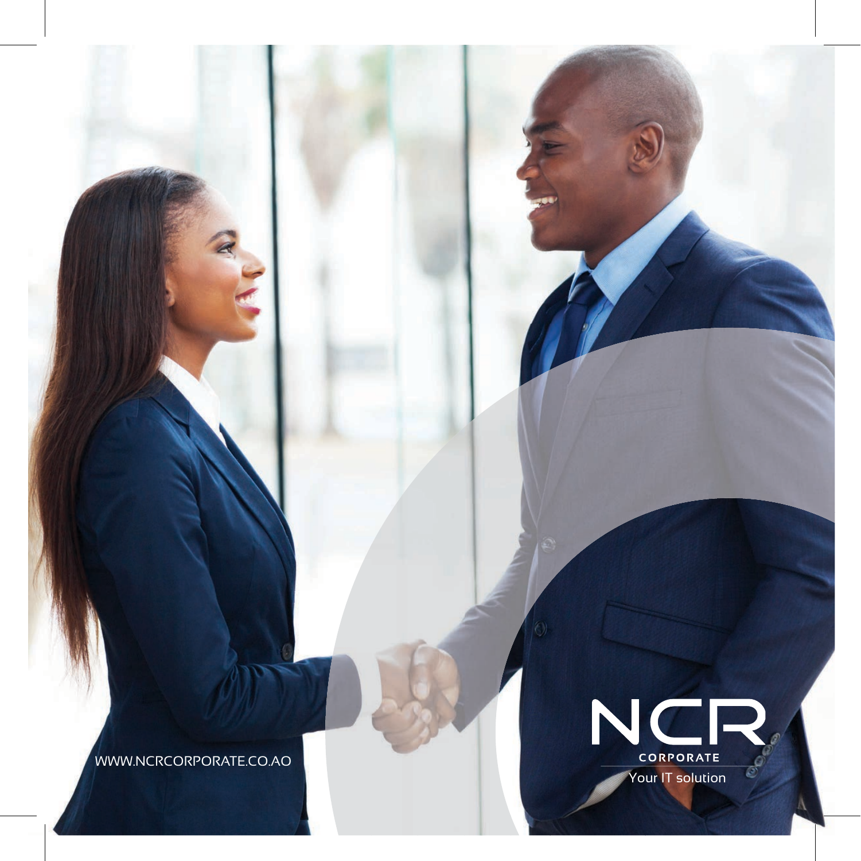WWW.NCRCORPORATE.CO.AO

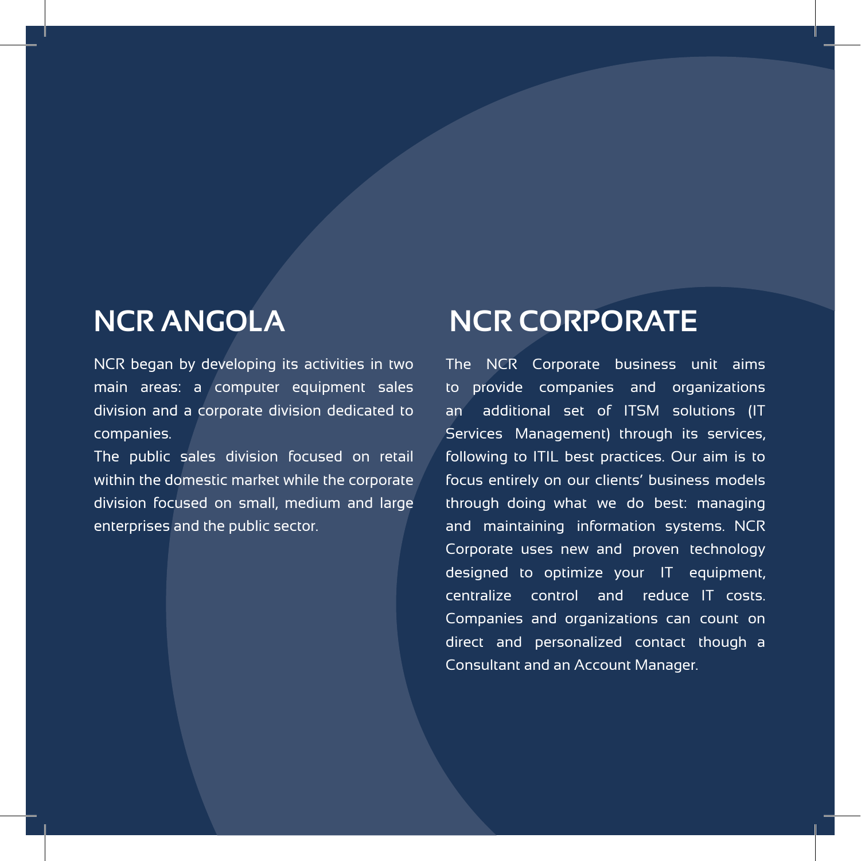# **NCR ANGOLA**

NCR began by developing its activities in two main areas: a computer equipment sales division and a corporate division dedicated to companies.

The public sales division focused on retail within the domestic market while the corporate division focused on small, medium and large enterprises and the public sector.

# **NCR CORPORATE**

The NCR Corporate business unit aims to provide companies and organizations an additional set of ITSM solutions (IT Services Management) through its services, following to ITIL best practices. Our aim is to focus entirely on our clients' business models through doing what we do best: managing and maintaining information systems. NCR Corporate uses new and proven technology designed to optimize your IT equipment, centralize control and reduce IT costs. Companies and organizations can count on direct and personalized contact though a Consultant and an Account Manager.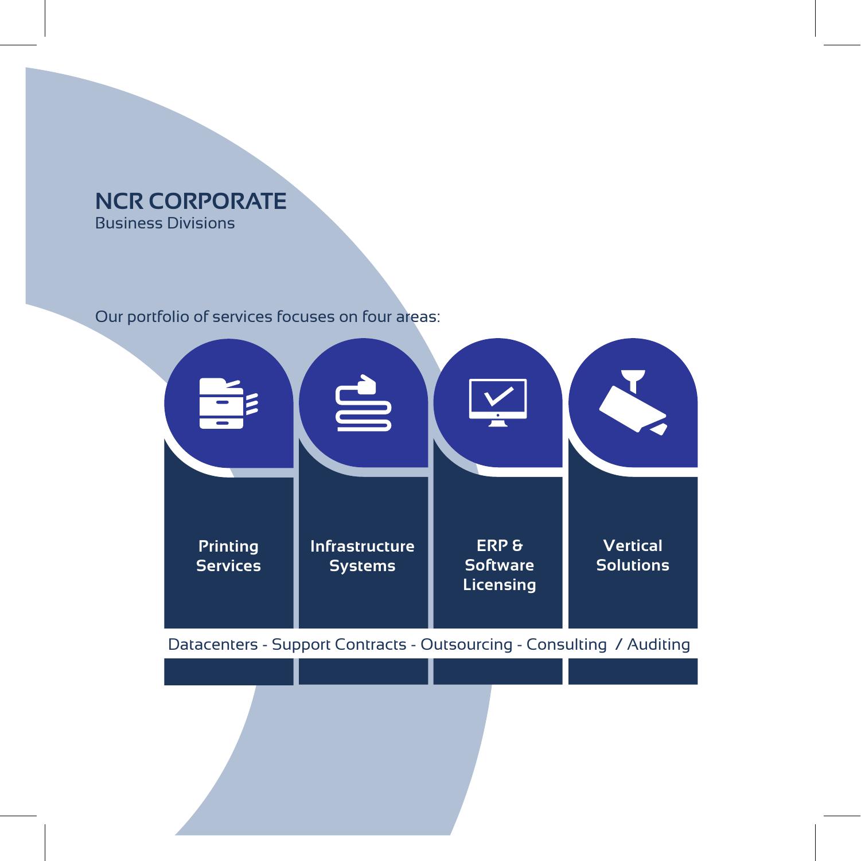# **NCR CORPORATE** Business Divisions

# Our portfolio of services focuses on four areas:

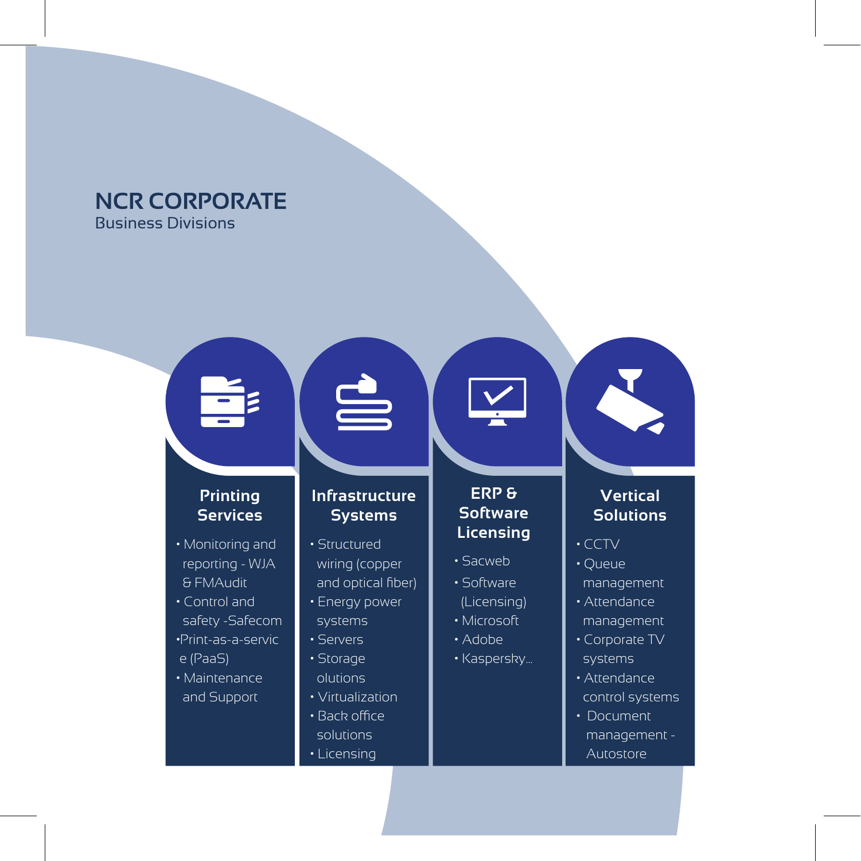# **NCR CORPORATE** Business Divisions

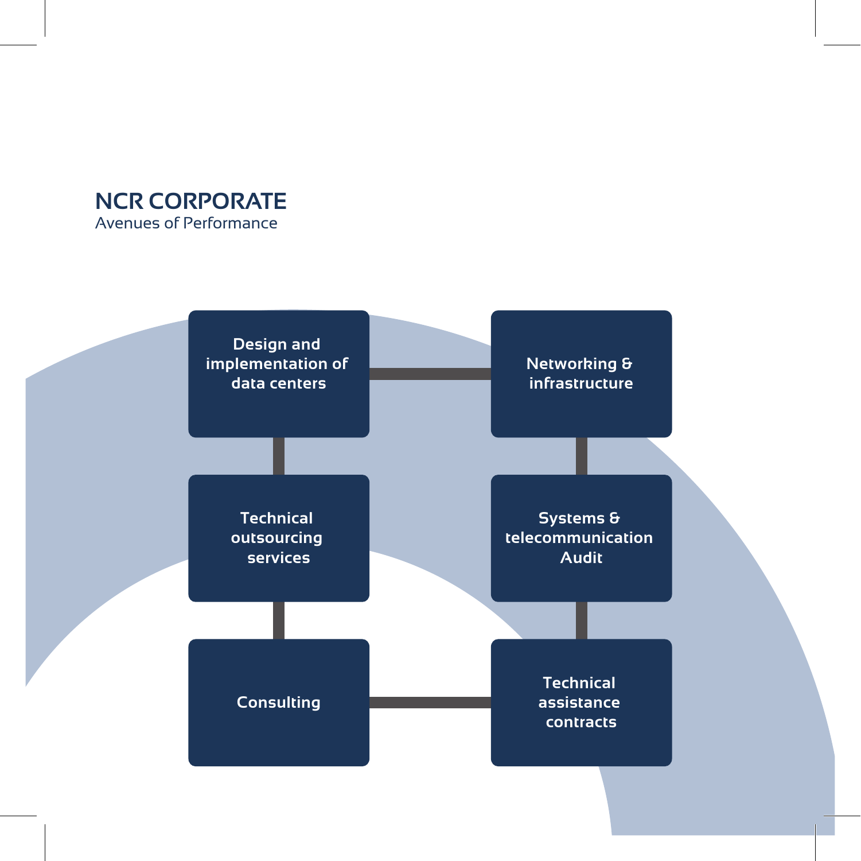# **NCR CORPORATE** Avenues of Performance

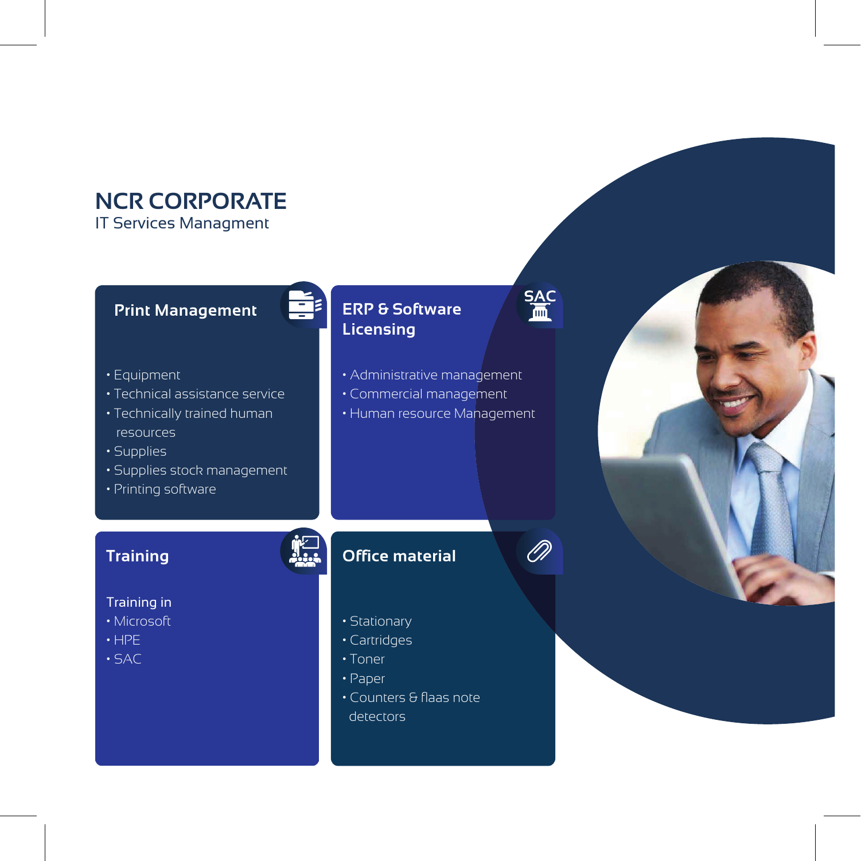# **NCR CORPORATE**

IT Services Managment

# **Print Management**

- Equipment
- Technical assistance service
- Technically trained human resources
- Supplies
- Supplies stock management
- Printing software

### **Training**

### Training in

- Microsoft
- HPE
- SAC

# **ERP & Software Licensing**

- Administrative management
- Commercial management
- Human resource Management

# **Office material**

- Stationary
- Cartridges
- Toner
- Paper
- Counters & flaas note detectors



 $\oslash$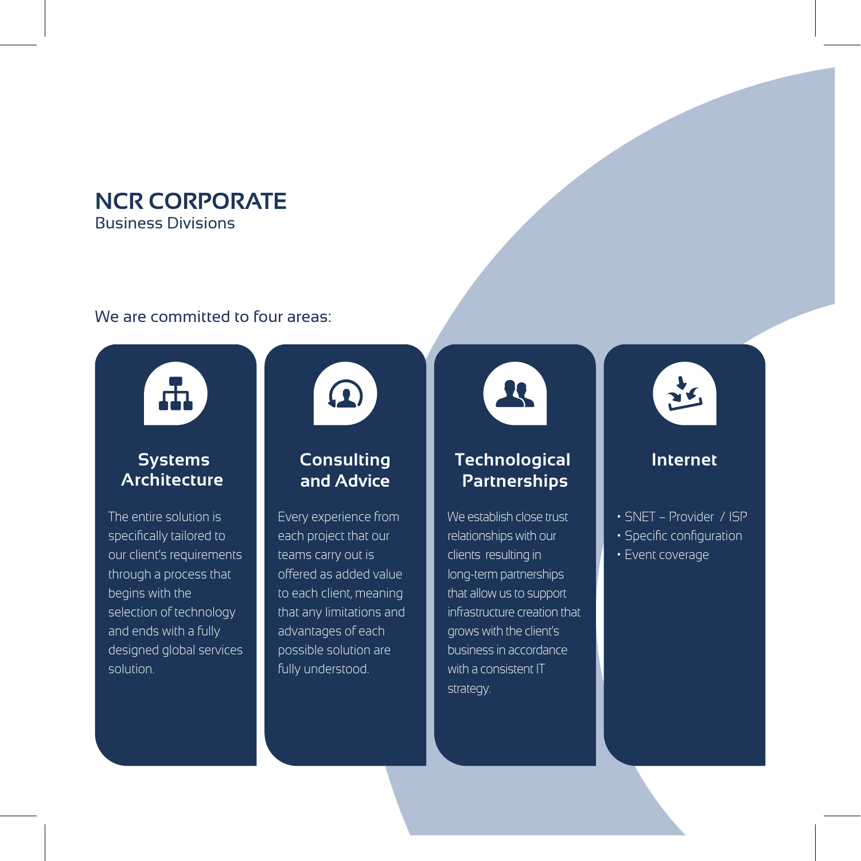# **NCR CORPORATE** Business Divisions

### We are committed to four areas:



### **Systems Architecture**

The entire solution is specifically tailored to our client's requirements through a process that begins with the selection of technology and ends with a fully designed global services solution.



# **Consulting and Advice**

Every experience from each project that our teams carry out is offered as added value to each client, meaning that any limitations and advantages of each possible solution are fully understood.



# **Technological Partnerships**

We establish close trust relationships with our clients resulting in long-term partnerships that allow us to support infrastructure creation that grows with the client's business in accordance with a consistent IT strategy.



# **Internet**

- SNET Provider / ISP
- Specific configuration
- Event coverage